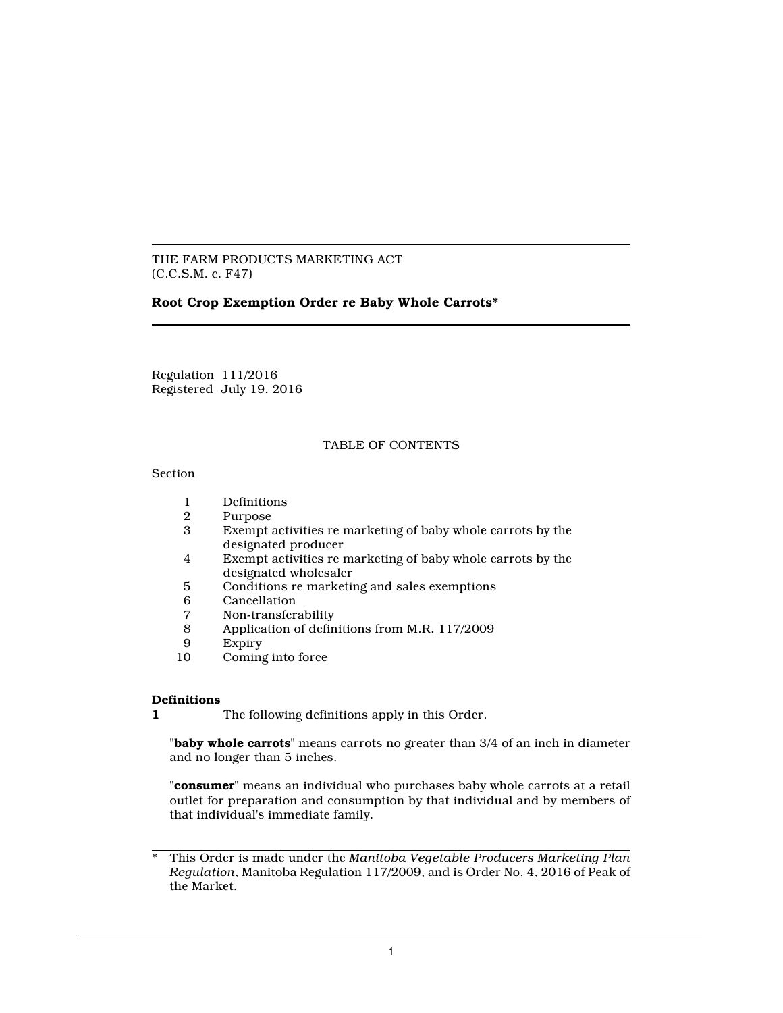THE FARM PRODUCTS MARKETING ACT (C.C.S.M. c. F47)

# **Root Crop Exemption Order re Baby Whole Carrots\***

Regulation 111/2016 Registered July 19, 2016

#### TABLE OF CONTENTS

#### Section

- 1 Definitions<br>2 Purpose
- 2 Purpose<br>3 Exempt a
- Exempt activities re marketing of baby whole carrots by the designated producer
- 4 Exempt activities re marketing of baby whole carrots by the designated wholesaler
- 5 Conditions re marketing and sales exemptions
- 6 Cancellation
- 7 Non-transferability
- 8 Application of definitions from M.R. 117/2009<br>9 Expiry
- 9 Expiry<br>10 Coming
- Coming into force

## **Definitions**

**1** The following definitions apply in this Order.

**"baby whole carrots"** means carrots no greater than 3/4 of an inch in diameter and no longer than 5 inches.

**"consumer"** means an individual who purchases baby whole carrots at a retail outlet for preparation and consumption by that individual and by members of that individual's immediate family.

<sup>\*</sup> This Order is made under the *Manitoba Vegetable Producers Marketing Plan Regulation*, Manitoba Regulation 117/2009, and is Order No. 4, 2016 of Peak of the Market.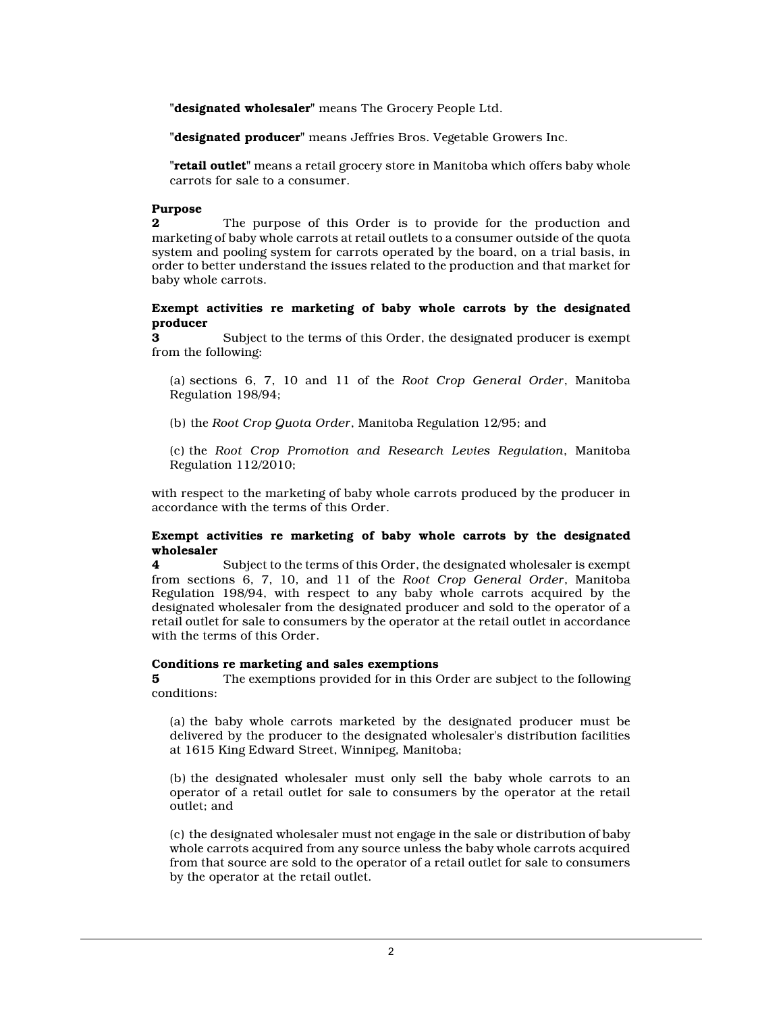**"designated wholesaler"** means The Grocery People Ltd.

**"designated producer"** means Jeffries Bros. Vegetable Growers Inc.

**"retail outlet"** means a retail grocery store in Manitoba which offers baby whole carrots for sale to a consumer.

## **Purpose**

**2** The purpose of this Order is to provide for the production and marketing of baby whole carrots at retail outlets to a consumer outside of the quota system and pooling system for carrots operated by the board, on a trial basis, in order to better understand the issues related to the production and that market for baby whole carrots.

#### **Exempt activities re marketing of baby whole carrots by the designated producer**

**3** Subject to the terms of this Order, the designated producer is exempt from the following:

(a) sections 6, 7, 10 and 11 of the *Root Crop General Order*, Manitoba Regulation 198/94;

(b) the *Root Crop Quota Order*, Manitoba Regulation 12/95; and

(c) the *Root Crop Promotion and Research Levies Regulation*, Manitoba Regulation 112/2010;

with respect to the marketing of baby whole carrots produced by the producer in accordance with the terms of this Order.

### **Exempt activities re marketing of baby whole carrots by the designated wholesaler**

**4** Subject to the terms of this Order, the designated wholesaler is exempt from sections 6, 7, 10, and 11 of the *Root Crop General Order*, Manitoba Regulation 198/94, with respect to any baby whole carrots acquired by the designated wholesaler from the designated producer and sold to the operator of a retail outlet for sale to consumers by the operator at the retail outlet in accordance with the terms of this Order.

#### **Conditions re marketing and sales exemptions**

**5** The exemptions provided for in this Order are subject to the following conditions:

(a) the baby whole carrots marketed by the designated producer must be delivered by the producer to the designated wholesaler's distribution facilities at 1615 King Edward Street, Winnipeg, Manitoba;

(b) the designated wholesaler must only sell the baby whole carrots to an operator of a retail outlet for sale to consumers by the operator at the retail outlet; and

(c) the designated wholesaler must not engage in the sale or distribution of baby whole carrots acquired from any source unless the baby whole carrots acquired from that source are sold to the operator of a retail outlet for sale to consumers by the operator at the retail outlet.